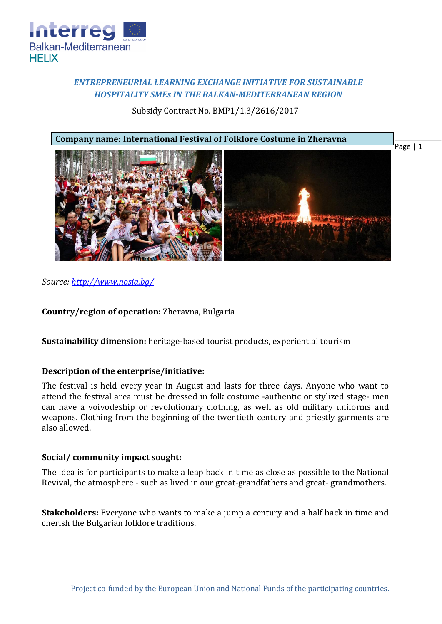

# *ENTREPRENEURIAL LEARNING EXCHANGE INITIATIVE FOR SUSTAINABLE HOSPITALITY SMEs IN THE BALKAN-MEDITERRANEAN REGION*

### Subsidy Contract No. BMP1/1.3/2616/2017



*Source:<http://www.nosia.bg/>*

**Country/region of operation:** Zheravna, Bulgaria

**Sustainability dimension:** heritage-based tourist products, experiential tourism

### **Description of the enterprise/initiative:**

The festival is held every year in August and lasts for three days. Anyone who want to attend the festival area must be dressed in folk costume -authentic or stylized stage- men can have a voivodeship or revolutionary clothing, as well as old military uniforms and weapons. Clothing from the beginning of the twentieth century and priestly garments are also allowed.

### **Social/ community impact sought:**

The idea is for participants to make a leap back in time as close as possible to the National Revival, the atmosphere - such as lived in our great-grandfathers and great- grandmothers.

**Stakeholders:** Everyone who wants to make a jump a century and a half back in time and cherish the Bulgarian folklore traditions.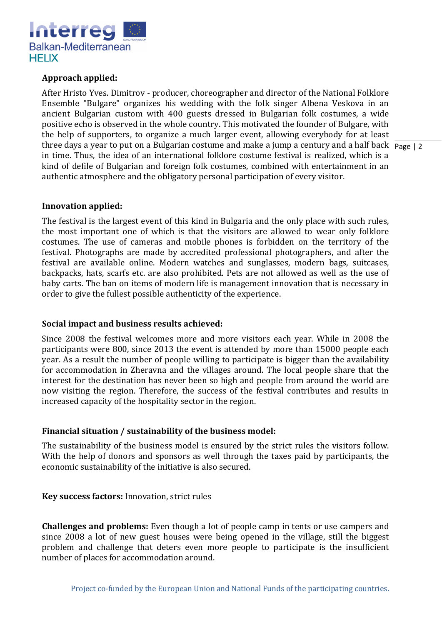

## **Approach applied:**

three days a year to put on a Bulgarian costume and make a jump a century and a half back page | 2 After Hristo Yves. Dimitrov - producer, choreographer and director of the National Folklore Ensemble "Bulgare" organizes his wedding with the folk singer Albena Veskova in an ancient Bulgarian custom with 400 guests dressed in Bulgarian folk costumes, a wide positive echo is observed in the whole country. This motivated the founder of Bulgare, with the help of supporters, to organize a much larger event, allowing everybody for at least in time. Thus, the idea of an international folklore costume festival is realized, which is a kind of defile of Bulgarian and foreign folk costumes, combined with entertainment in an authentic atmosphere and the obligatory personal participation of every visitor.

#### **Innovation applied:**

The festival is the largest event of this kind in Bulgaria and the only place with such rules, the most important one of which is that the visitors are allowed to wear only folklore costumes. The use of cameras and mobile phones is forbidden on the territory of the festival. Photographs are made by accredited professional photographers, and after the festival are available online. Modern watches and sunglasses, modern bags, suitcases, backpacks, hats, scarfs etc. are also prohibited. Pets are not allowed as well as the use of baby carts. The ban on items of modern life is management innovation that is necessary in order to give the fullest possible authenticity of the experience.

### **Social impact and business results achieved:**

Since 2008 the festival welcomes more and more visitors each year. While in 2008 the participants were 800, since 2013 the event is attended by more than 15000 people each year. As a result the number of people willing to participate is bigger than the availability for accommodation in Zheravna and the villages around. The local people share that the interest for the destination has never been so high and people from around the world are now visiting the region. Therefore, the success of the festival contributes and results in increased capacity of the hospitality sector in the region.

### **Financial situation / sustainability of the business model:**

The sustainability of the business model is ensured by the strict rules the visitors follow. With the help of donors and sponsors as well through the taxes paid by participants, the economic sustainability of the initiative is also secured.

**Key success factors:** Innovation, strict rules

**Challenges and problems:** Even though a lot of people camp in tents or use campers and since 2008 a lot of new guest houses were being opened in the village, still the biggest problem and challenge that deters even more people to participate is the insufficient number of places for accommodation around.